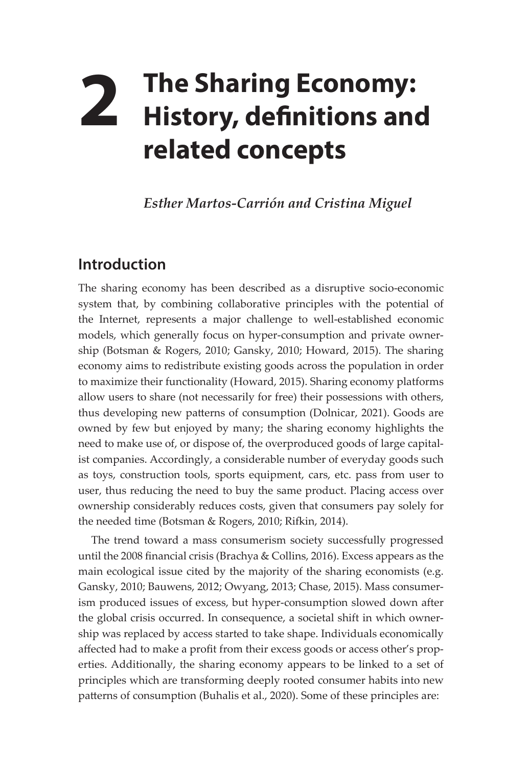## **2 The Sharing Economy: History, definitions and related concepts**

*Esther Martos-Carrión and Cristina Miguel*

## **Introduction**

The sharing economy has been described as a disruptive socio-economic system that, by combining collaborative principles with the potential of the Internet, represents a major challenge to well-established economic models, which generally focus on hyper-consumption and private ownership (Botsman & Rogers, 2010; Gansky, 2010; Howard, 2015). The sharing economy aims to redistribute existing goods across the population in order to maximize their functionality (Howard, 2015). Sharing economy platforms allow users to share (not necessarily for free) their possessions with others, thus developing new patterns of consumption (Dolnicar, 2021). Goods are owned by few but enjoyed by many; the sharing economy highlights the need to make use of, or dispose of, the overproduced goods of large capitalist companies. Accordingly, a considerable number of everyday goods such as toys, construction tools, sports equipment, cars, etc. pass from user to user, thus reducing the need to buy the same product. Placing access over ownership considerably reduces costs, given that consumers pay solely for the needed time (Botsman & Rogers, 2010; Rifkin, 2014).

The trend toward a mass consumerism society successfully progressed until the 2008 financial crisis (Brachya & Collins, 2016). Excess appears as the main ecological issue cited by the majority of the sharing economists (e.g. Gansky, 2010; Bauwens, 2012; Owyang, 2013; Chase, 2015). Mass consumerism produced issues of excess, but hyper-consumption slowed down after the global crisis occurred. In consequence, a societal shift in which ownership was replaced by access started to take shape. Individuals economically affected had to make a profit from their excess goods or access other's properties. Additionally, the sharing economy appears to be linked to a set of principles which are transforming deeply rooted consumer habits into new patterns of consumption (Buhalis et al., 2020). Some of these principles are: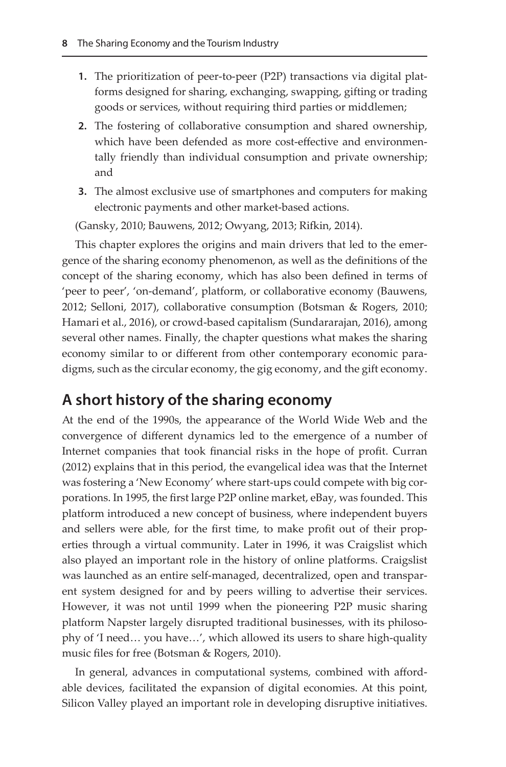- **1.** The prioritization of peer-to-peer (P2P) transactions via digital platforms designed for sharing, exchanging, swapping, gifting or trading goods or services, without requiring third parties or middlemen;
- **2.** The fostering of collaborative consumption and shared ownership, which have been defended as more cost-effective and environmentally friendly than individual consumption and private ownership; and
- **3.** The almost exclusive use of smartphones and computers for making electronic payments and other market-based actions.

(Gansky, 2010; Bauwens, 2012; Owyang, 2013; Rifkin, 2014).

This chapter explores the origins and main drivers that led to the emergence of the sharing economy phenomenon, as well as the definitions of the concept of the sharing economy, which has also been defined in terms of 'peer to peer', 'on-demand', platform, or collaborative economy (Bauwens, 2012; Selloni, 2017), collaborative consumption (Botsman & Rogers, 2010; Hamari et al., 2016), or crowd-based capitalism (Sundararajan, 2016), among several other names. Finally, the chapter questions what makes the sharing economy similar to or different from other contemporary economic paradigms, such as the circular economy, the gig economy, and the gift economy.

## **A short history of the sharing economy**

At the end of the 1990s, the appearance of the World Wide Web and the convergence of different dynamics led to the emergence of a number of Internet companies that took financial risks in the hope of profit. Curran (2012) explains that in this period, the evangelical idea was that the Internet was fostering a 'New Economy' where start-ups could compete with big corporations. In 1995, the first large P2P online market, eBay, was founded. This platform introduced a new concept of business, where independent buyers and sellers were able, for the first time, to make profit out of their properties through a virtual community. Later in 1996, it was Craigslist which also played an important role in the history of online platforms. Craigslist was launched as an entire self-managed, decentralized, open and transparent system designed for and by peers willing to advertise their services. However, it was not until 1999 when the pioneering P2P music sharing platform Napster largely disrupted traditional businesses, with its philosophy of 'I need… you have…', which allowed its users to share high-quality music files for free (Botsman & Rogers, 2010).

In general, advances in computational systems, combined with affordable devices, facilitated the expansion of digital economies. At this point, Silicon Valley played an important role in developing disruptive initiatives.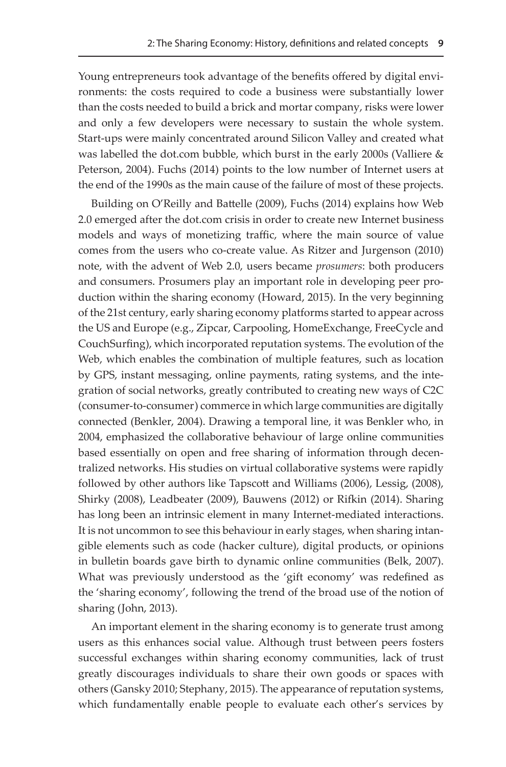Young entrepreneurs took advantage of the benefits offered by digital environments: the costs required to code a business were substantially lower than the costs needed to build a brick and mortar company, risks were lower and only a few developers were necessary to sustain the whole system. Start-ups were mainly concentrated around Silicon Valley and created what was labelled the dot.com bubble, which burst in the early 2000s (Valliere & Peterson, 2004). Fuchs (2014) points to the low number of Internet users at the end of the 1990s as the main cause of the failure of most of these projects.

Building on O'Reilly and Battelle (2009), Fuchs (2014) explains how Web 2.0 emerged after the dot.com crisis in order to create new Internet business models and ways of monetizing traffic, where the main source of value comes from the users who co-create value. As Ritzer and Jurgenson (2010) note, with the advent of Web 2.0, users became *prosumers*: both producers and consumers. Prosumers play an important role in developing peer production within the sharing economy (Howard, 2015). In the very beginning of the 21st century, early sharing economy platforms started to appear across the US and Europe (e.g., Zipcar, Carpooling, HomeExchange, FreeCycle and CouchSurfing), which incorporated reputation systems. The evolution of the Web, which enables the combination of multiple features, such as location by GPS, instant messaging, online payments, rating systems, and the integration of social networks, greatly contributed to creating new ways of C2C (consumer-to-consumer) commerce in which large communities are digitally connected (Benkler, 2004). Drawing a temporal line, it was Benkler who, in 2004, emphasized the collaborative behaviour of large online communities based essentially on open and free sharing of information through decentralized networks. His studies on virtual collaborative systems were rapidly followed by other authors like Tapscott and Williams (2006), Lessig, (2008), Shirky (2008), Leadbeater (2009), Bauwens (2012) or Rifkin (2014). Sharing has long been an intrinsic element in many Internet-mediated interactions. It is not uncommon to see this behaviour in early stages, when sharing intangible elements such as code (hacker culture), digital products, or opinions in bulletin boards gave birth to dynamic online communities (Belk, 2007). What was previously understood as the 'gift economy' was redefined as the 'sharing economy', following the trend of the broad use of the notion of sharing (John, 2013).

An important element in the sharing economy is to generate trust among users as this enhances social value. Although trust between peers fosters successful exchanges within sharing economy communities, lack of trust greatly discourages individuals to share their own goods or spaces with others (Gansky 2010; Stephany, 2015). The appearance of reputation systems, which fundamentally enable people to evaluate each other's services by